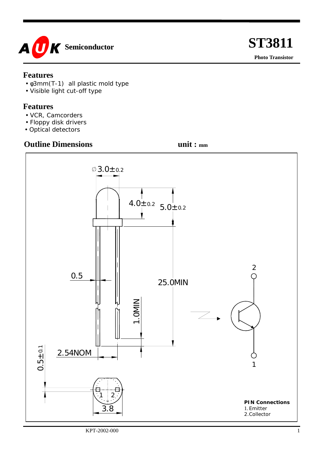

#### **Features**

- φ3mm(T-1) all plastic mold type
- Visible light cut-off type

#### **Features**

- VCR, Camcorders
- Floppy disk drivers
- Optical detectors

### **Outline Dimensions** unit : mm

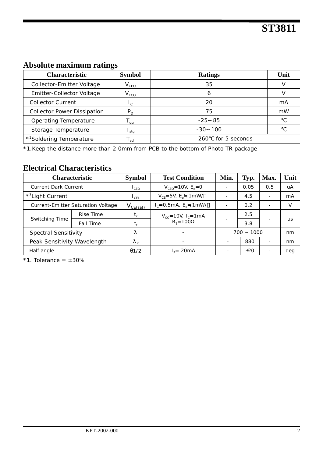## **Absolute maximum ratings**

| Characteristic                       | <b>Symbol</b> | <b>Ratings</b>       | Unit |  |
|--------------------------------------|---------------|----------------------|------|--|
| Collector-Emitter Voltage            | $V_{CEO}$     | 35                   |      |  |
| Emitter-Collector Voltage            | $V_{ECO}$     |                      |      |  |
| <b>Collector Current</b>             | $\sim$        | 20                   | mA   |  |
| <b>Collector Power Dissipation</b>   | $P_D$         | 75                   | mW   |  |
| Operating Temperature                | opr           | $-25$ 85             |      |  |
| Storage Temperature                  | stg           | $-30$ 100            |      |  |
| * <sup>1</sup> Soldering Temperature | sol           | for 5 seconds<br>260 |      |  |

\*1.Keep the distance more than 2.0mm from PCB to the bottom of Photo TR package

### **Electrical Characteristics**

| <b>Characteristic</b>              |                  | <b>Symbol</b>               | <b>Test Condition</b>                             | Min.         | Typ. | Max.                     | Unit |
|------------------------------------|------------------|-----------------------------|---------------------------------------------------|--------------|------|--------------------------|------|
| <b>Current Dark Current</b>        |                  | $L_{\text{CEO}}$            | $V_{CFO} = 10V$ , $E_e = 0$                       |              | 0.05 | 0.5                      | uA   |
| * <sup>3</sup> Light Current       |                  | $\mathsf{I}_{\mathsf{CFL}}$ | $V_{CF} = 5V$ , $E_e$ 1 mW/                       |              | 4.5  | $\overline{\phantom{a}}$ | mA   |
| Current-Emitter Saturation Voltage |                  | $V_{CE(sat)}$               | $I_c = 0.5 \text{mA}, E_e$ 1 mW/                  |              | 0.2  | $\overline{\phantom{0}}$ |      |
| Switching Time                     | Rise Time        |                             | $V_{cc} = 10V$ , $I_c = 1mA$<br>$R_1 = 100\Omega$ |              | 2.5  |                          | us   |
|                                    | <b>Fall Time</b> | t,                          |                                                   |              | 3.8  |                          |      |
| <b>Spectral Sensitivity</b>        |                  |                             |                                                   | $700 - 1000$ |      | nm                       |      |
| Peak Sensitivity Wavelength        |                  | D                           |                                                   |              | 880  | $\overline{\phantom{0}}$ | nm   |
| Half angle                         |                  | $\theta$ 1/2                | $I_c = 20mA$                                      |              | ±20  | $\overline{\phantom{0}}$ | deg  |

 $*1$ . Tolerance =  $\pm$  30%